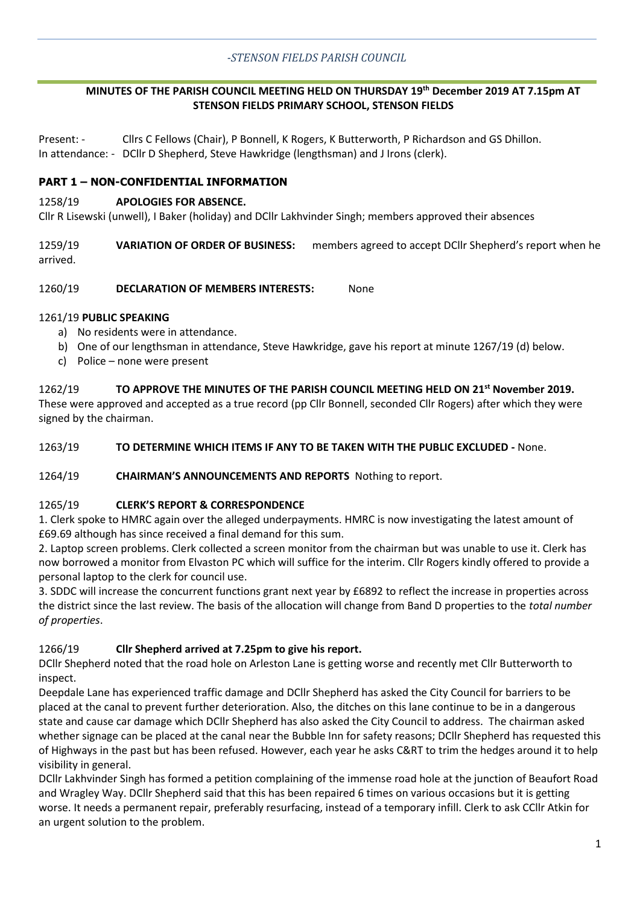## **MINUTES OF THE PARISH COUNCIL MEETING HELD ON THURSDAY 19th December 2019 AT 7.15pm AT STENSON FIELDS PRIMARY SCHOOL, STENSON FIELDS**

Present: - Cllrs C Fellows (Chair), P Bonnell, K Rogers, K Butterworth, P Richardson and GS Dhillon. In attendance: - DCllr D Shepherd, Steve Hawkridge (lengthsman) and J Irons (clerk).

# **PART 1 – NON-CONFIDENTIAL INFORMATION**

#### 1258/19 **APOLOGIES FOR ABSENCE.**

Cllr R Lisewski (unwell), I Baker (holiday) and DCllr Lakhvinder Singh; members approved their absences

1259/19 **VARIATION OF ORDER OF BUSINESS:** members agreed to accept DCllr Shepherd's report when he arrived.

1260/19 **DECLARATION OF MEMBERS INTERESTS:** None

## 1261/19 **PUBLIC SPEAKING**

- a) No residents were in attendance.
- b) One of our lengthsman in attendance, Steve Hawkridge, gave his report at minute 1267/19 (d) below.
- c) Police none were present

1262/19 **TO APPROVE THE MINUTES OF THE PARISH COUNCIL MEETING HELD ON 21st November 2019.**  These were approved and accepted as a true record (pp Cllr Bonnell, seconded Cllr Rogers) after which they were signed by the chairman.

#### 1263/19 **TO DETERMINE WHICH ITEMS IF ANY TO BE TAKEN WITH THE PUBLIC EXCLUDED -** None.

#### 1264/19 **CHAIRMAN'S ANNOUNCEMENTS AND REPORTS** Nothing to report.

#### 1265/19 **CLERK'S REPORT & CORRESPONDENCE**

1. Clerk spoke to HMRC again over the alleged underpayments. HMRC is now investigating the latest amount of £69.69 although has since received a final demand for this sum.

2. Laptop screen problems. Clerk collected a screen monitor from the chairman but was unable to use it. Clerk has now borrowed a monitor from Elvaston PC which will suffice for the interim. Cllr Rogers kindly offered to provide a personal laptop to the clerk for council use.

3. SDDC will increase the concurrent functions grant next year by £6892 to reflect the increase in properties across the district since the last review. The basis of the allocation will change from Band D properties to the *total number of properties*.

## 1266/19 **Cllr Shepherd arrived at 7.25pm to give his report.**

DCllr Shepherd noted that the road hole on Arleston Lane is getting worse and recently met Cllr Butterworth to inspect.

Deepdale Lane has experienced traffic damage and DCllr Shepherd has asked the City Council for barriers to be placed at the canal to prevent further deterioration. Also, the ditches on this lane continue to be in a dangerous state and cause car damage which DCllr Shepherd has also asked the City Council to address. The chairman asked whether signage can be placed at the canal near the Bubble Inn for safety reasons; DCllr Shepherd has requested this of Highways in the past but has been refused. However, each year he asks C&RT to trim the hedges around it to help visibility in general.

DCllr Lakhvinder Singh has formed a petition complaining of the immense road hole at the junction of Beaufort Road and Wragley Way. DCllr Shepherd said that this has been repaired 6 times on various occasions but it is getting worse. It needs a permanent repair, preferably resurfacing, instead of a temporary infill. Clerk to ask CCllr Atkin for an urgent solution to the problem.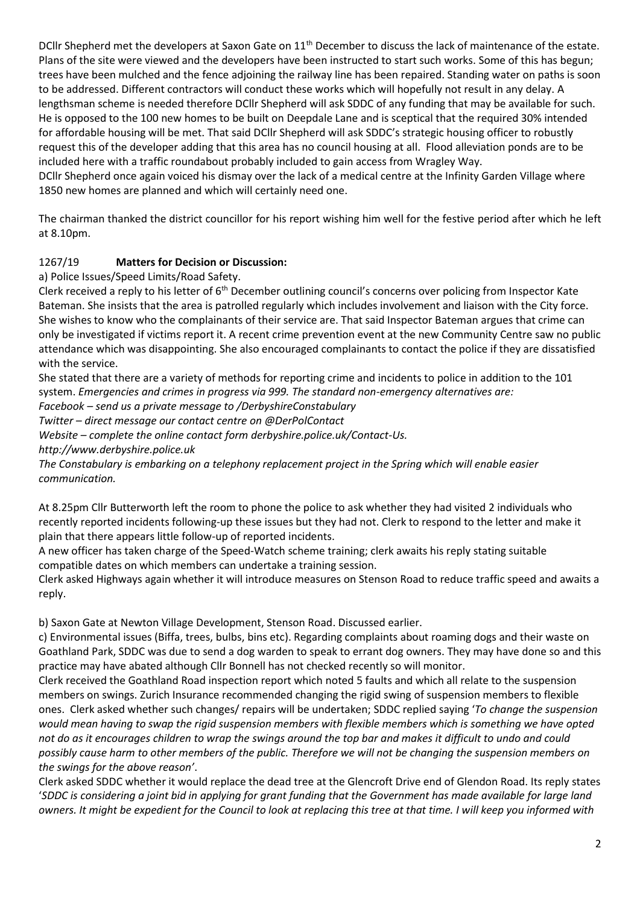DCllr Shepherd met the developers at Saxon Gate on 11<sup>th</sup> December to discuss the lack of maintenance of the estate. Plans of the site were viewed and the developers have been instructed to start such works. Some of this has begun; trees have been mulched and the fence adjoining the railway line has been repaired. Standing water on paths is soon to be addressed. Different contractors will conduct these works which will hopefully not result in any delay. A lengthsman scheme is needed therefore DCllr Shepherd will ask SDDC of any funding that may be available for such. He is opposed to the 100 new homes to be built on Deepdale Lane and is sceptical that the required 30% intended for affordable housing will be met. That said DCllr Shepherd will ask SDDC's strategic housing officer to robustly request this of the developer adding that this area has no council housing at all. Flood alleviation ponds are to be included here with a traffic roundabout probably included to gain access from Wragley Way.

DCllr Shepherd once again voiced his dismay over the lack of a medical centre at the Infinity Garden Village where 1850 new homes are planned and which will certainly need one.

The chairman thanked the district councillor for his report wishing him well for the festive period after which he left at 8.10pm.

# 1267/19 **Matters for Decision or Discussion:**

a) Police Issues/Speed Limits/Road Safety.

Clerk received a reply to his letter of  $6<sup>th</sup>$  December outlining council's concerns over policing from Inspector Kate Bateman. She insists that the area is patrolled regularly which includes involvement and liaison with the City force. She wishes to know who the complainants of their service are. That said Inspector Bateman argues that crime can only be investigated if victims report it. A recent crime prevention event at the new Community Centre saw no public attendance which was disappointing. She also encouraged complainants to contact the police if they are dissatisfied with the service.

She stated that there are a variety of methods for reporting crime and incidents to police in addition to the 101 system. *Emergencies and crimes in progress via 999. The standard non-emergency alternatives are:*

*Facebook – send us a private message to /DerbyshireConstabulary*

*Twitter – direct message our contact centre on @DerPolContact*

*Website – complete the online contact form derbyshire.police.uk/Contact-Us.*

*http://www.derbyshire.police.uk* 

*The Constabulary is embarking on a telephony replacement project in the Spring which will enable easier communication.*

At 8.25pm Cllr Butterworth left the room to phone the police to ask whether they had visited 2 individuals who recently reported incidents following-up these issues but they had not. Clerk to respond to the letter and make it plain that there appears little follow-up of reported incidents.

A new officer has taken charge of the Speed-Watch scheme training; clerk awaits his reply stating suitable compatible dates on which members can undertake a training session.

Clerk asked Highways again whether it will introduce measures on Stenson Road to reduce traffic speed and awaits a reply.

b) Saxon Gate at Newton Village Development, Stenson Road. Discussed earlier.

c) Environmental issues (Biffa, trees, bulbs, bins etc). Regarding complaints about roaming dogs and their waste on Goathland Park, SDDC was due to send a dog warden to speak to errant dog owners. They may have done so and this practice may have abated although Cllr Bonnell has not checked recently so will monitor.

Clerk received the Goathland Road inspection report which noted 5 faults and which all relate to the suspension members on swings. Zurich Insurance recommended changing the rigid swing of suspension members to flexible ones. Clerk asked whether such changes/ repairs will be undertaken; SDDC replied saying '*To change the suspension would mean having to swap the rigid suspension members with flexible members which is something we have opted not do as it encourages children to wrap the swings around the top bar and makes it difficult to undo and could possibly cause harm to other members of the public. Therefore we will not be changing the suspension members on the swings for the above reason'*.

Clerk asked SDDC whether it would replace the dead tree at the Glencroft Drive end of Glendon Road. Its reply states '*SDDC is considering a joint bid in applying for grant funding that the Government has made available for large land owners. It might be expedient for the Council to look at replacing this tree at that time. I will keep you informed with*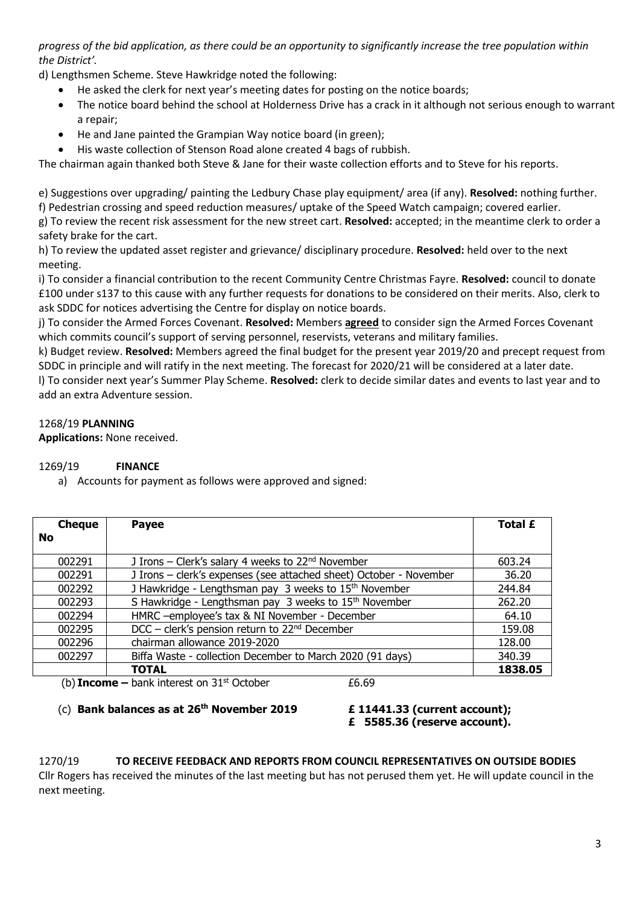*progress of the bid application, as there could be an opportunity to significantly increase the tree population within the District'.* 

d) Lengthsmen Scheme. Steve Hawkridge noted the following:

- He asked the clerk for next year's meeting dates for posting on the notice boards;
- The notice board behind the school at Holderness Drive has a crack in it although not serious enough to warrant a repair;
- He and Jane painted the Grampian Way notice board (in green);
- His waste collection of Stenson Road alone created 4 bags of rubbish.

The chairman again thanked both Steve & Jane for their waste collection efforts and to Steve for his reports.

e) Suggestions over upgrading/ painting the Ledbury Chase play equipment/ area (if any). **Resolved:** nothing further. f) Pedestrian crossing and speed reduction measures/ uptake of the Speed Watch campaign; covered earlier.

g) To review the recent risk assessment for the new street cart. **Resolved:** accepted; in the meantime clerk to order a safety brake for the cart.

h) To review the updated asset register and grievance/ disciplinary procedure. **Resolved:** held over to the next meeting.

i) To consider a financial contribution to the recent Community Centre Christmas Fayre. **Resolved:** council to donate £100 under s137 to this cause with any further requests for donations to be considered on their merits. Also, clerk to ask SDDC for notices advertising the Centre for display on notice boards.

j) To consider the Armed Forces Covenant. **Resolved:** Members **agreed** to consider sign the Armed Forces Covenant which commits council's support of serving personnel, reservists, veterans and military families.

k) Budget review. **Resolved:** Members agreed the final budget for the present year 2019/20 and precept request from SDDC in principle and will ratify in the next meeting. The forecast for 2020/21 will be considered at a later date.

l) To consider next year's Summer Play Scheme. **Resolved:** clerk to decide similar dates and events to last year and to add an extra Adventure session.

# 1268/19 **PLANNING**

**Applications:** None received.

## 1269/19 **FINANCE**

a) Accounts for payment as follows were approved and signed:

| <b>No</b><br>J Irons - Clerk's salary 4 weeks to 22 <sup>nd</sup> November<br>002291<br>J Irons - clerk's expenses (see attached sheet) October - November<br>002291<br>J Hawkridge - Lengthsman pay 3 weeks to 15 <sup>th</sup> November<br>002292<br>S Hawkridge - Lengthsman pay 3 weeks to 15 <sup>th</sup> November<br>002293<br>HMRC -employee's tax & NI November - December<br>002294<br>$DCC$ – clerk's pension return to $22nd$ December<br>002295 | <b>Cheque</b> | <b>Payee</b>                 | Total £ |
|--------------------------------------------------------------------------------------------------------------------------------------------------------------------------------------------------------------------------------------------------------------------------------------------------------------------------------------------------------------------------------------------------------------------------------------------------------------|---------------|------------------------------|---------|
|                                                                                                                                                                                                                                                                                                                                                                                                                                                              |               |                              |         |
|                                                                                                                                                                                                                                                                                                                                                                                                                                                              |               |                              | 603.24  |
|                                                                                                                                                                                                                                                                                                                                                                                                                                                              |               |                              | 36.20   |
|                                                                                                                                                                                                                                                                                                                                                                                                                                                              |               |                              | 244.84  |
|                                                                                                                                                                                                                                                                                                                                                                                                                                                              |               |                              | 262.20  |
|                                                                                                                                                                                                                                                                                                                                                                                                                                                              |               |                              | 64.10   |
|                                                                                                                                                                                                                                                                                                                                                                                                                                                              |               |                              | 159.08  |
|                                                                                                                                                                                                                                                                                                                                                                                                                                                              | 002296        | chairman allowance 2019-2020 | 128.00  |
| Biffa Waste - collection December to March 2020 (91 days)<br>002297                                                                                                                                                                                                                                                                                                                                                                                          |               |                              | 340.39  |
| <b>TOTAL</b>                                                                                                                                                                                                                                                                                                                                                                                                                                                 |               |                              | 1838.05 |

(b) **Income**  $-$  bank interest on  $31<sup>st</sup>$  October  $\qquad 6.69$ 

# (c) **Bank balances as at 26th November 2019 £ 11441.33 (current account);**

**£ 5585.36 (reserve account).**

# 1270/19 **TO RECEIVE FEEDBACK AND REPORTS FROM COUNCIL REPRESENTATIVES ON OUTSIDE BODIES**

Cllr Rogers has received the minutes of the last meeting but has not perused them yet. He will update council in the next meeting.